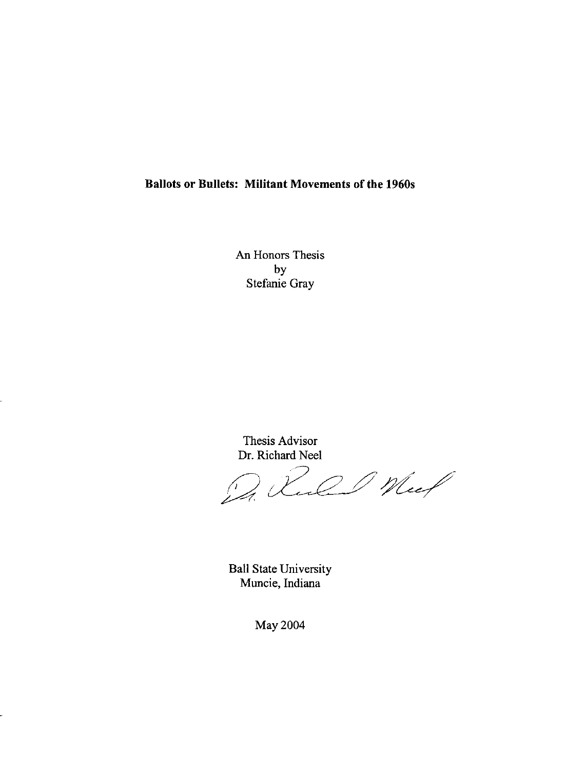## **Ballots or Bullets: Militant Movements of the 1960s**

An Honors Thesis by Stefanie Gray

Thesis Advisor Dr. Richard Nee!

200 Meel

Ball State University Muncie, Indiana

May 2004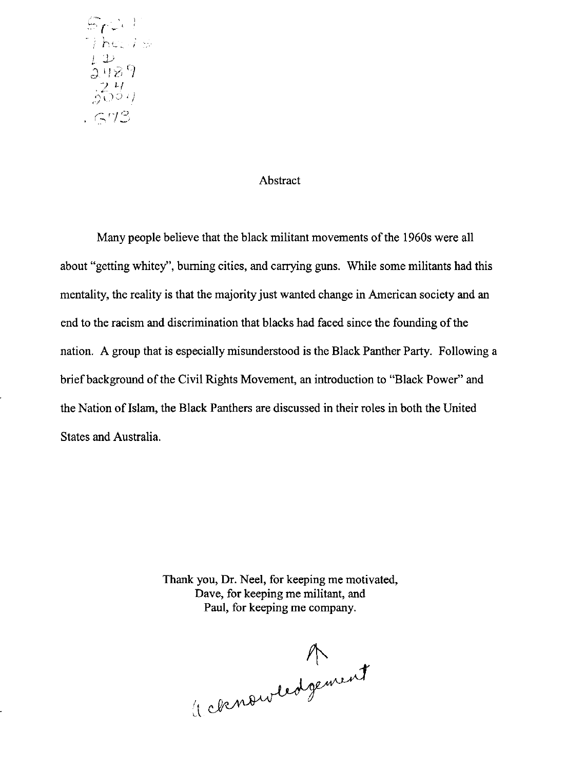$\mathbb{F}_\Gamma$  .  $\Gamma$  $\eta$  here  $i \leq$  $242$  $\overline{\nu}$  11 :\ .. ~ -):.) .. I' *"f*   $.673$ 

## Abstract

Many people believe that the black militant movements of the 1960s were all about "getting whitey", burning cities, and carrying guns. While some militants had this mentality, the reality is that the majority just wanted change in American society and an end to the racism and discrimination that blacks had faced since the founding of the nation. A group that is especially misunderstood is the Black Panther Party. Following a brief background of the Civil Rights Movement, an introduction to "Black Power" and the Nation of Islam, the Black Panthers are discussed in their roles in both the United States and Australia.

> Thank you, Dr. Neel, for keeping me motivated, Dave, for keeping me militant, and Paul, for keeping me company.

A consurtedgement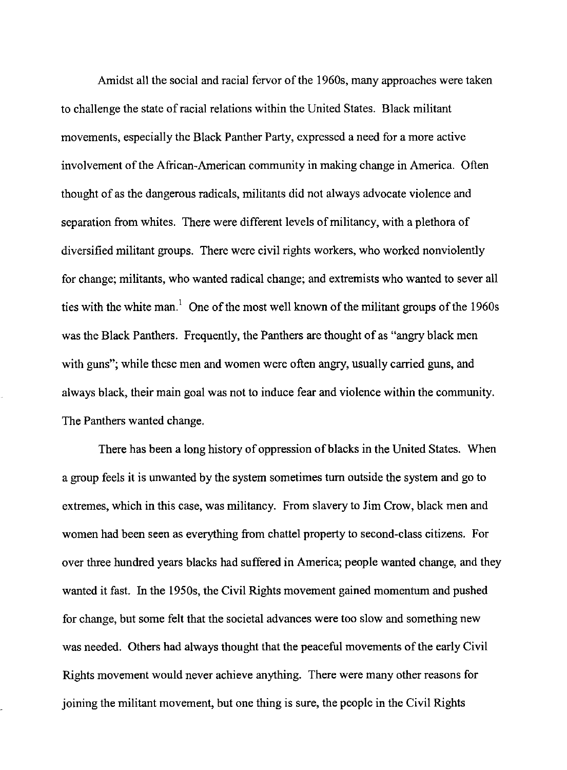Amidst all the social and racial fervor of the 1960s, many approaches were taken to challenge the state ofracial relations within the United States. Black militant movements, especially the Black Panther Party, expressed a need for a more active involvement of the African-American community in making change in America. Often thought of as the dangerous radicals, militants did not always advocate violence and separation from whites. There were different levels of militancy, with a plethora of diversified militant groups. There were civil rights workers, who worked nonviolently for change; militants, who wanted radical change; and extremists who wanted to sever all ties with the white man.<sup>1</sup> One of the most well known of the militant groups of the 1960s was the Black Panthers. Frequently, the Panthers are thought of as "angry black men with guns"; while these men and women were often angry, usually carried guns, and always black, their main goal was not to induce fear and violence within the community. The Panthers wanted change.

There has been a long history of oppression of blacks in the United States. When a group feels it is unwanted by the system sometimes turn outside the system and go to extremes, which in this case, was militancy. From slavery to Jim Crow, black men and women had been seen as everything from chattel property to second-class citizens. For over three hundred years blacks had suffered in America; people wanted change, and they wanted it fast. In the 1950s, the Civil Rights movement gained momentum and pushed for change, but some felt that the societal advances were too slow and something new was needed. Others had always thought that the peaceful movements of the early Civil Rights movement would never achieve anything. There were many other reasons for joining the militant movement, but one thing is sure, the people in the Civil Rights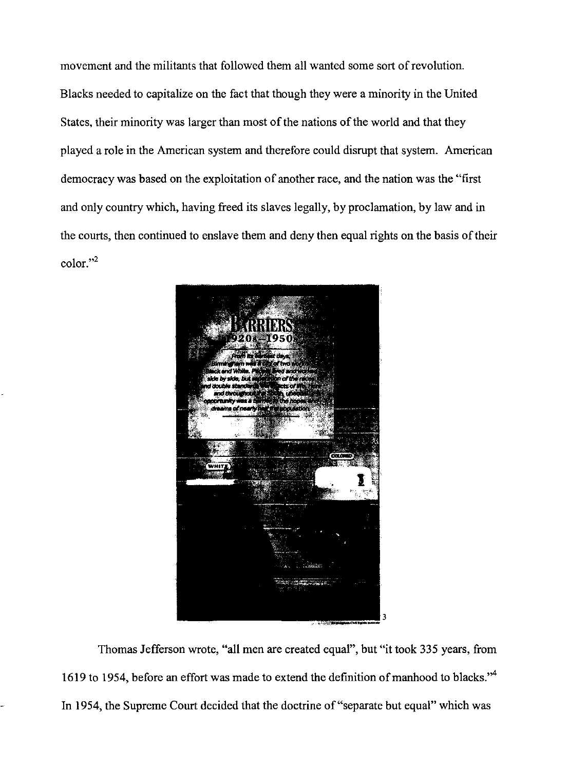movement and the militants that followed them all wanted some sort of revolution. Blacks needed to capitalize on the fact that though they were a minority in the United States, their minority was larger than most of the nations of the world and that they played a role in the American system and therefore could disrupt that system. American democracy was based on the exploitation of another race, and the nation was the "first and only country which, having freed its slaves legally, by proclamation, by law and in the courts, then continued to enslave them and deny then equal rights on the basis of their color."2



Thomas Jefferson wrote, "all men are created equal", but "it took 335 years, from 1619 to 1954, before an effort was made to extend the definition of manhood to blacks."<sup>4</sup> In 1954, the Supreme Court decided that the doctrine of "separate but equal" which was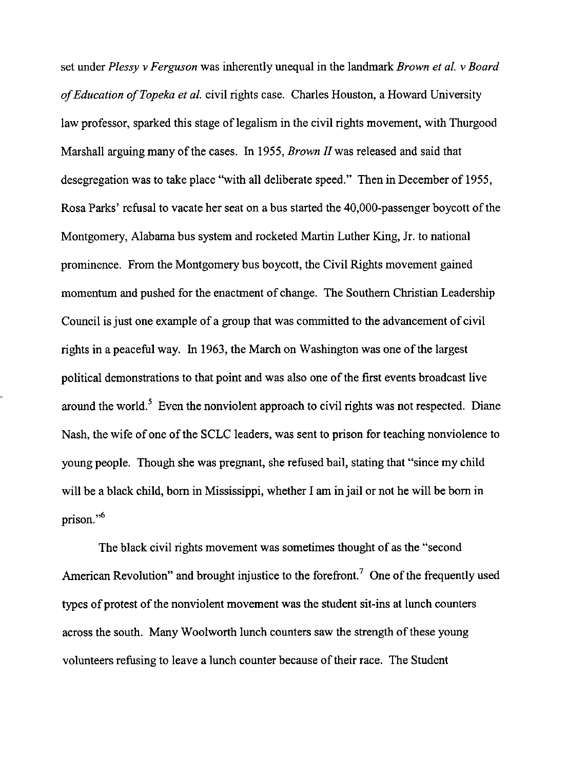set under *Plessy* v *Ferguson* was inherently unequal in the landmark *Brown et at.* v *Board of Education of Topeka et al.* civil rights case. Charles Houston, a Howard University law professor, sparked this stage of legalism in the civil rights movement, with Thurgood Marshall arguing many of the cases. In 1955, *Brown* JIwas released and said that desegregation was to take place "with all deliberate speed." Then in December of 1955, Rosa Parks' refusal to vacate her seat on a bus started the 40,000-passenger boycott of the Montgomery, Alabama bus system and rocketed Martin Luther King, Jr. to national prominence. From the Montgomery bus boycott, the Civil Rights movement gained momentum and pushed for the enactment of change. The Southern Christian Leadership Council is just one example of a group that was committed to the advancement of civil rights in a peaceful way. In 1963, the March on Washington was one of the largest political demonstrations to that point and was also one of the first events broadcast live around the world.<sup>5</sup> Even the nonviolent approach to civil rights was not respected. Diane Nash, the wife of one of the SCLC leaders, was sent to prison for teaching nonviolence to young people. Though she was pregnant, she refused bail, stating that "since my child will be a black child, born in Mississippi, whether I am in jail or not he will be born in prison."<sup>6</sup>

The black civil rights movement was sometimes thought of as the "second American Revolution" and brought injustice to the forefront.<sup>7</sup> One of the frequently used types of protest of the nonviolent movement was the student sit-ins at lunch counters across the south. Many Woolworth lunch counters saw the strength of these young volunteers refusing to leave a lunch counter because of their race. The Student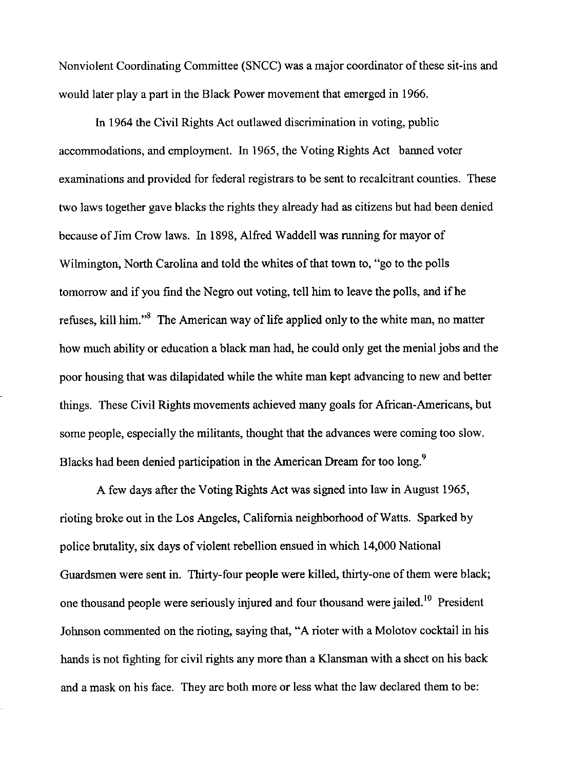Nonviolent Coordinating Committee (SNCC) was a major coordinator of these sit-ins and would later play a part in the Black Power movement that emerged in 1966.

In 1964 the Civil Rights Act outlawed discrimination in voting, public accommodations, and employment. In 1965, the Voting Rights Act banned voter examinations and provided for federal registrars to be sent to recalcitrant counties. These two laws together gave blacks the rights they already had as citizens but had been denied because of Jim Crow laws. In 1898, Alfred Waddell was running for mayor of Wilmington, North Carolina and told the whites of that town to, "go to the polls tomorrow and if you find the Negro out voting, tell him to leave the polls, and ifhe refuses, kill him."<sup>8</sup> The American way of life applied only to the white man, no matter how much ability or education a black man had, he could only get the menial jobs and the poor housing that was dilapidated while the white man kept advancing to new and better things. These Civil Rights movements achieved many goals for African-Americans, but some people, especially the militants, thought that the advances were coming too slow. Blacks had been denied participation in the American Dream for too long.<sup>9</sup>

A few days after the Voting Rights Act was signed into law in August 1965, rioting broke out in the Los Angeles, California neighborhood of Watts. Sparked by police brutality, six days of violent rebellion ensued in which 14,000 National Guardsmen were sent in. Thirty-four people were killed, thirty-one of them were black; one thousand people were seriously injured and four thousand were jailed.<sup>10</sup> President Johnson commented on the rioting, saying that, "A rioter with a Molotov cocktail in his hands is not fighting for civil rights any more than a Klansman with a sheet on his back and a mask on his face. They are both more or less what the law declared them to be: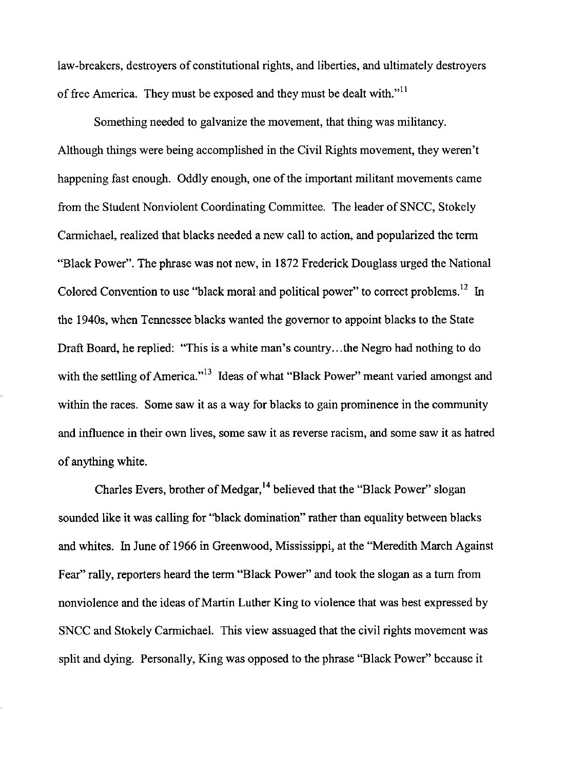law-breakers, destroyers of constitutional rights, and liberties, and ultimately destroyers of free America. They must be exposed and they must be dealt with."ll

Something needed to galvanize the movement, that thing was militancy. Although things were being accomplished in the Civil Rights movement, they weren't happening fast enough. Oddly enough, one of the important militant movements came from the Student Nonviolent Coordinating Committee. The leader of SNCC, Stokely Carmichael, realized that blacks needed a new call to action, and popularized the term "Black Power". The phrase was not new, in 1872 Frederick Douglass urged the National Colored Convention to use "black moral and political power" to correct problems.<sup>12</sup> In the 1940s, when Tennessee blacks wanted the governor to appoint blacks to the State Draft Board, he replied: "This is a white man's country... the Negro had nothing to do with the settling of America."<sup>13</sup> Ideas of what "Black Power" meant varied amongst and within the races. Some saw it as a way for blacks to gain prominence in the community and influence in their own lives, some saw it as reverse racism, and some saw it as hatred of anything white.

Charles Evers, brother of Medgar, 14 believed that the "Black Power" slogan sounded like it was calling for "black domination" rather than equality between blacks and whites. In June of 1966 in Greenwood, Mississippi, at the "Meredith March Against Fear" rally, reporters heard the term "Black Power" and took the slogan as a turn from nonviolence and the ideas of Martin Luther King to violence that was best expressed by SNCC and Stokely Carmichael. This view assuaged that the civil rights movement was split and dying. Personally, King was opposed to the phrase "Black Power" because it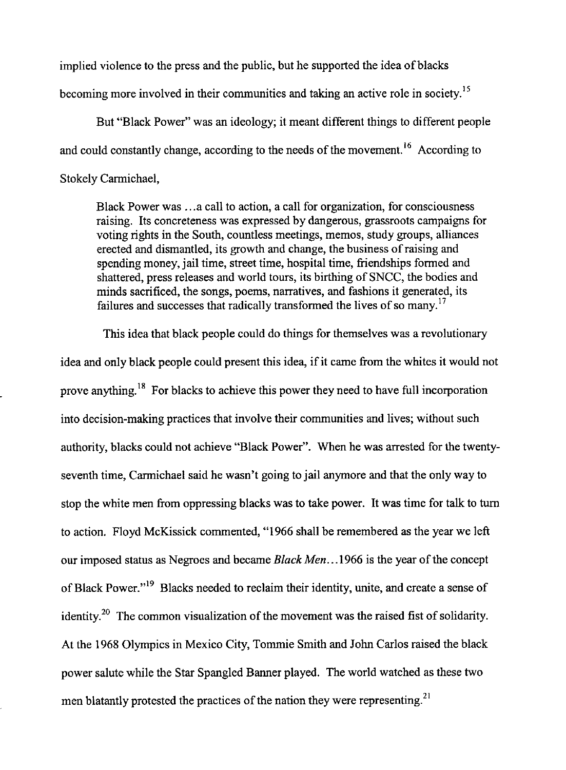implied violence to the press and the public, but he supported the idea of blacks becoming more involved in their communities and taking an active role in society.<sup>15</sup>

But "Black Power" was an ideology; it meant different things to different people and could constantly change, according to the needs of the movement.<sup>16</sup> According to Stokely Carmichael,

Black Power was ... a call to action, a call for organization, for consciousness raising. Its concreteness was expressed by dangerous, grassroots campaigns for voting rights in the South, countless meetings, memos, study groups, alliances erected and dismantled, its growth and change, the business of raising and spending money, jail time, street time, hospital time, friendships formed and shattered, press releases and world tours, its birthing of SNCC, the bodies and minds sacrificed, the songs, poems, narratives, and fashions it generated, its failures and successes that radically transformed the lives of so many.<sup>17</sup>

This idea that black people could do things for themselves was a revolutionary idea and only black people could present this idea, if it came from the whites it would not prove anything.<sup>18</sup> For blacks to achieve this power they need to have full incorporation into decision-making practices that involve their communities and lives; without such authority, blacks could not achieve "Black Power". When he was arrested for the twentyseventh time, Carmichael said he wasn't going to jail anymore and that the only way to stop the white men from oppressing blacks was to take power. It was time for talk to turn to action. Floyd McKissick commented, "1966 shall be remembered as the year we left our imposed status as Negroes and became *Black Men .*.. 1966 is the year of the concept of Black Power."<sup>19</sup> Blacks needed to reclaim their identity, unite, and create a sense of identity.<sup>20</sup> The common visualization of the movement was the raised fist of solidarity. At the 1968 Olympics in Mexico City, Tommie Smith and John Carlos raised the black power salute while the Star Spangled Banner played. The world watched as these two men blatantly protested the practices of the nation they were representing.<sup>21</sup>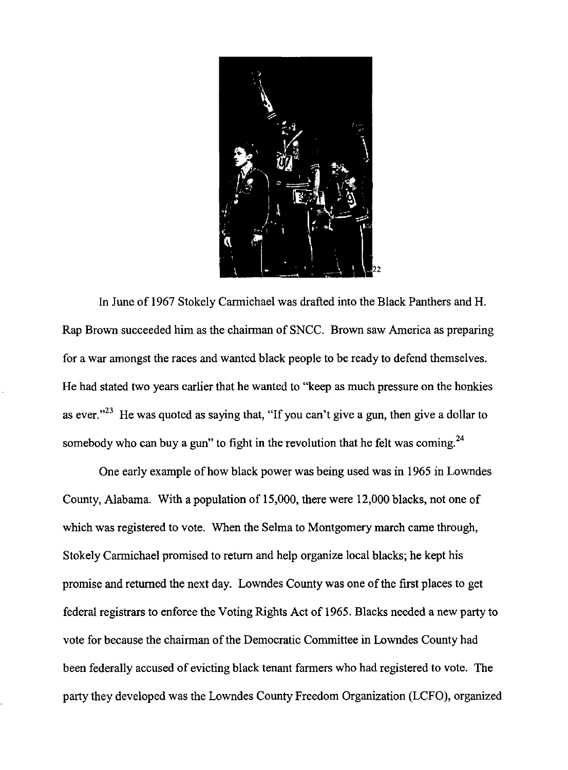

In June of 1967 Stokely Carmichael was drafted into the Black Panthers and H. Rap Brown succeeded him as the chairman of SNCC. Brown saw America as preparing for a war amongst the races and wanted black people to be ready to defend themselves. He had stated two years earlier that he wanted to "keep as much pressure on the honkies as ever."<sup>23</sup> He was quoted as saying that, "If you can't give a gun, then give a dollar to somebody who can buy a gun" to fight in the revolution that he felt was coming.<sup>24</sup>

One early example of how black power was being used was in 1965 in Lowndes County, Alabama. With a population of 15,000, there were 12,000 blacks, not one of which was registered to vote. When the Selma to Montgomery march came through, Stokely Carmichael promised to return and help organize local blacks; he kept his promise and returned the next day. Lowndes County was one of the first places to get federal registrars to enforce the Voting Rights Act of 1965. Blacks needed a new party to vote for because the chairman of the Democratic Committee in Lowndes County had been federally accused of evicting black tenant farmers who had registered to vote. The party they developed was the Lowndes County Freedom Organization (LCFO), organized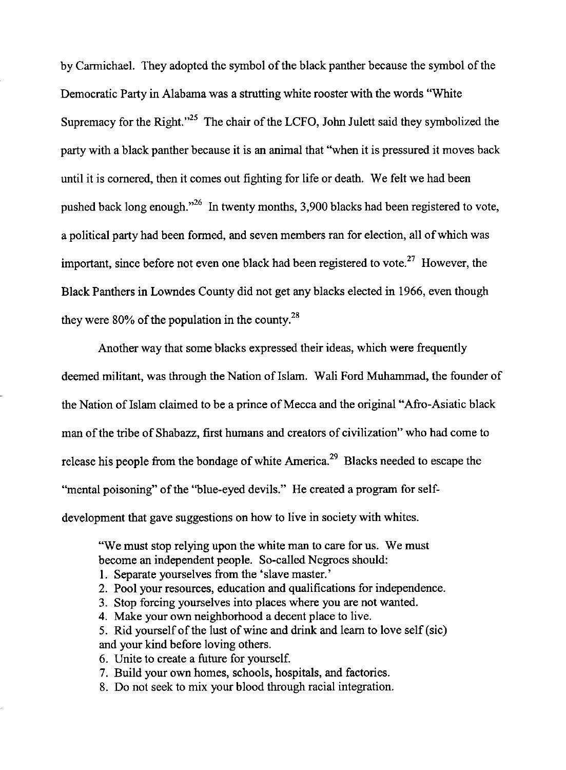by Carmichael. They adopted the symbol of the black panther because the symbol of the Democratic Party in Alabama was a strutting white rooster with the words "White Supremacy for the Right. $n^{25}$  The chair of the LCFO, John Julett said they symbolized the party with a black panther because it is an animal that "when it is pressured it moves back until it is cornered, then it comes out fighting for life or death. We felt we had been pushed back long enough. $126$  In twenty months, 3,900 blacks had been registered to vote, a political party had been formed, and seven members ran for election, all of which was important, since before not even one black had been registered to vote.<sup>27</sup> However, the Black Panthers in Lowndes County did not get any blacks elected in 1966, even though they were  $80\%$  of the population in the county.<sup>28</sup>

Another way that some blacks expressed their ideas, which were frequently deemed militant, was through the Nation of Islam. Wali Ford Muhammad, the founder of the Nation of Islam claimed to be a prince of Mecca and the original "Afro-Asiatic black" man of the tribe of Shabazz, first humans and creators of civilization" who had come to release his people from the bondage of white America.<sup>29</sup> Blacks needed to escape the "mental poisoning" of the "blue-eyed devils." He created a program for selfdevelopment that gave suggestions on how to live in society with whites.

"We must stop relying upon the white man to care for us. We must become an independent people. So-called Negroes should:

- 1. Separate yourselves from the 'slave master.'
- 2. Pool your resources, education and qualifications for independence.
- 3. Stop forcing yourselves into places where you are not wanted.
- 4. Make your own neighborhood a decent place to live.

5. Rid yourself of the lust of wine and drink and learn to love self (sic) and your kind before loving others.

- 6. Unite to create a future for yourself.
- 7. Build your own homes, schools, hospitals, and factories.
- 8. Do not seek to mix your blood through racial integration.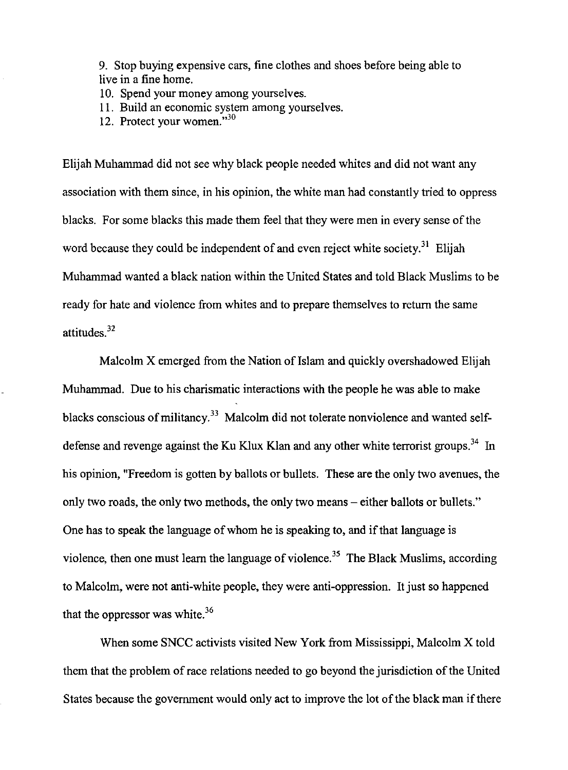9. Stop buying expensive cars, fine clothes and shoes before being able to live in a fine home.

10. Spend your money among yourselves.

11. Build an economic system among yourselves.

12. Protect your women.<sup>530</sup>

Elijah Muhammad did not see why black people needed whites and did not want any association with them since, in his opinion, the white man had constantly tried to oppress blacks. For some blacks this made them feel that they were men in every sense of the word because they could be independent of and even reject white society.<sup>31</sup> Elijah Muhannnad wanted a black nation within the United States and told Black Muslims to be ready for hate and violence from whites and to prepare themselves to return the same attitudes.<sup>32</sup>

Malcolm X emerged from the Nation of Islam and quickly overshadowed Elijah Muhannnad. Due to his charismatic interactions with the people he was able to make blacks conscious of militancy.<sup>33</sup> Malcolm did not tolerate nonviolence and wanted selfdefense and revenge against the Ku Klux Klan and any other white terrorist groups.<sup>34</sup> In his opinion, "Freedom is gotten by ballots or bullets. These are the only two avenues, the only two roads, the only two methods, the only two means – either ballots or bullets." One has to speak the language of whom he is speaking to, and if that language is violence, then one must learn the language of violence.<sup>35</sup> The Black Muslims, according to Malcolm, were not anti-white people, they were anti-oppression. It just so happened that the oppressor was white. $36$ 

When some SNCC activists visited New York from Mississippi, Malcolm X told them that the problem of race relations needed to go beyond the jurisdiction of the United States because the government would only act to improve the lot of the black man if there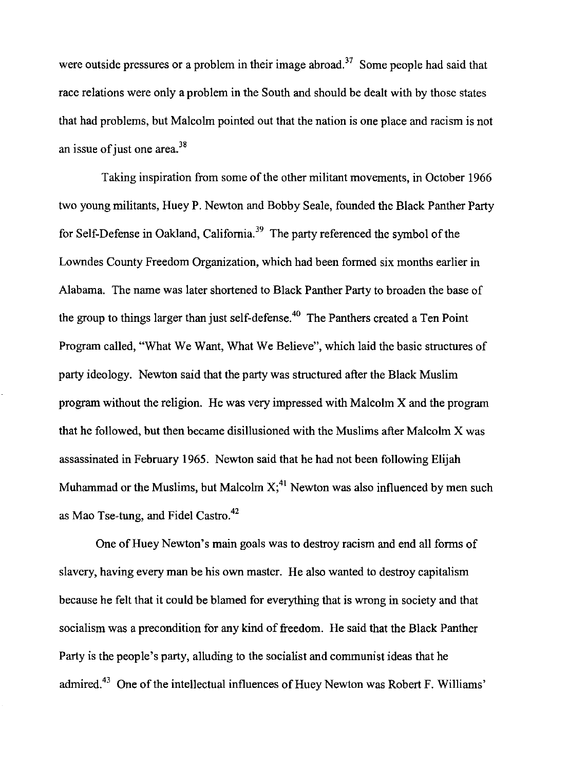were outside pressures or a problem in their image abroad.<sup>37</sup> Some people had said that race relations were only a problem in the South and should be dealt with by those states that had problems, but Malcolm pointed out that the nation is one place and racism is not an issue of just one area. $38$ 

Taking inspiration from some of the other militant movements, in October 1966 two young militants, Huey P. Newton and Bobby Seale, founded the Black Panther Party for Self-Defense in Oakland, California.<sup>39</sup> The party referenced the symbol of the Lowndes County Freedom Organization, which had been formed six months earlier in Alabama. The name was later shortened to Black Panther Party to broaden the base of the group to things larger than just self-defense.<sup>40</sup> The Panthers created a Ten Point Program called, "What We Want, What We Believe", which laid the basic structures of party ideology. Newton said that the party was structured after the Black Muslim program without the religion. He was very impressed with Malcolm X and the program that he followed, but then became disillusioned with the Muslims after Malcolm X was assassinated in February 1965. Newton said that he had not been following Elijah Muhammad or the Muslims, but Malcolm  $X<sub>i</sub><sup>41</sup>$  Newton was also influenced by men such as Mao Tse-tung, and Fidel Castro.<sup>42</sup>

One of Huey Newton's main goals was to destroy racism and end all forms of slavery, having every man be his own master. He also wanted to destroy capitalism because he felt that it could be blamed for everything that is wrong in society and that socialism was a precondition for any kind of freedom. He said that the Black Panther Party is the people's party, alluding to the socialist and communist ideas that he admired.43 One of the intellectual influences of Huey Newton was Robert F. Williams'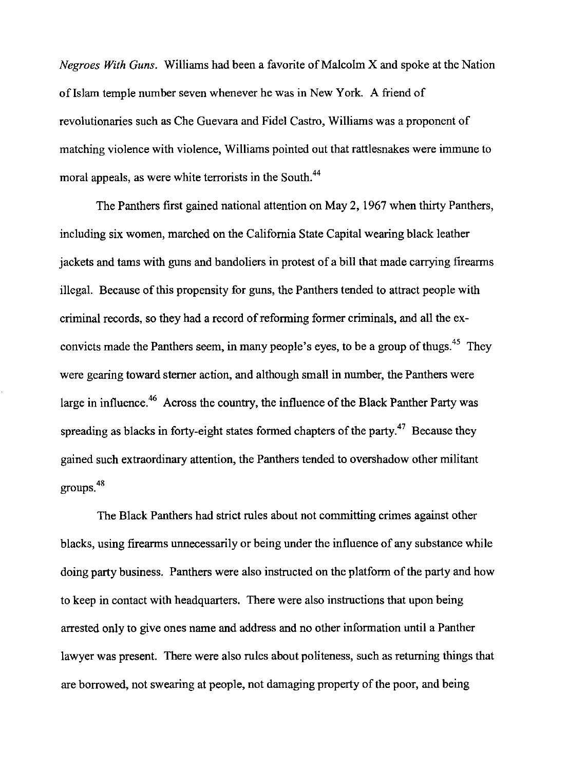*Negroes With Guns.* Williams had been a favorite of Malcolm X and spoke at the Nation of Islam temple number seven whenever he was in New York. A friend of revolutionaries such as Che Guevara and Fidel Castro, Williams was a proponent of matching violence witb violence, Williams pointed out that rattlesnakes were immune to moral appeals, as were white terrorists in the South.<sup>44</sup>

The Panthers first gained national attention on May 2, 1967 when thirty Panthers, including six women, marched on the California State Capital wearing black leather jackets and tams with guns and bandoliers in protest of a bill tbat made carrying firearms illegal. Because of this propensity for guns, the Panthers tended to attract people with criminal records, so tbey had a record of reforming former criminals, and all the exconvicts made the Panthers seem, in many people's eyes, to be a group of thugs.<sup>45</sup> They were gearing toward sterner action, and although small in number, the Panthers were large in influence.<sup>46</sup> Across the country, the influence of the Black Panther Party was spreading as blacks in forty-eight states formed chapters of the party.<sup>47</sup> Because they gained such extraordinary attention, tbe Pantbers tended to overshadow other militant groupS.48

The Black Pantbers had strict rules about not committing crimes against otber blacks, using firearms unnecessarily or being under the influence of any substance while doing party business. Panthers were also instructed on the platform of the party and how to keep in contact witb headquarters. There were also instructions tbat upon being arrested only to give ones name and address and no other information until a Panther lawyer was present. There were also rules about politeness, such as returning things that are borrowed, not swearing at people, not damaging property of the poor, and being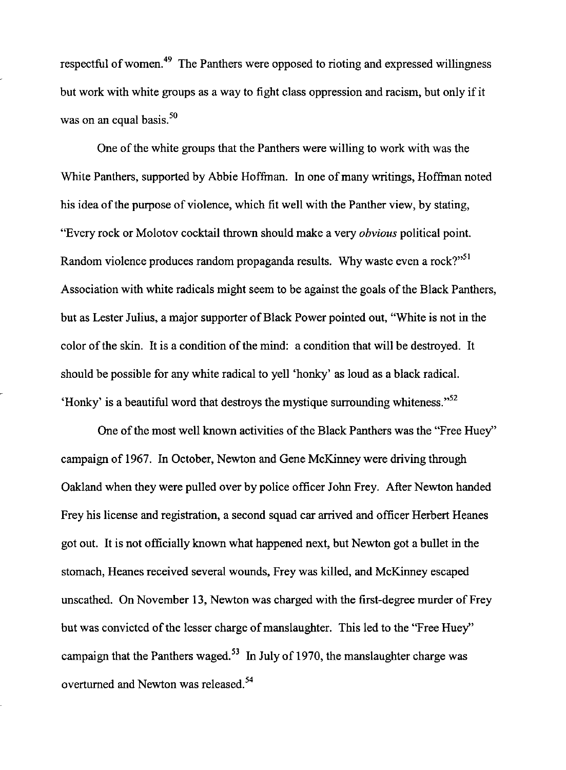respectful of women.<sup>49</sup> The Panthers were opposed to rioting and expressed willingness but work with white groups as a way to fight class oppression and racism, but only if it was on an equal basis. $50$ 

One of the white groups that the Panthers were willing to work with was the White Panthers, supported by Abbie Hoffman. In one of many writings, Hoffman noted his idea of the purpose of violence, which fit well with the Panther view, by stating, "Every rock or Molotov cocktail thrown should make a very *obvious* political point. Random violence produces random propaganda results. Why waste even a rock? $v^{51}$ Association with white radicals might seem to be against the goals of the Black Panthers, but as Lester Julius, a major supporter of Black Power pointed out, "White is not in the color ofthe skin. It is a condition of the mind: a condition that will be destroyed. It should be possible for any white radical to yell 'honky' as loud as a black radical. 'Honky' is a beautiful word that destroys the mystique surrounding whiteness. $^{52}$ 

One of the most well known activities of the Black Panthers was the "Free Huey" campaign of 1967. In October, Newton and Gene McKinney were driving through Oakland when they were pulled over by police officer John Frey. After Newton handed Frey his license and registration, a second squad car arrived and officer Herbert Heanes got out. It is not officially known what happened next, but Newton got a bullet in the stomach, Heanes received several wounds, Frey was killed, and McKinney escaped unscathed. On November 13, Newton was charged with the first-degree murder of Frey but was convicted of the lesser charge of manslaughter. This led to the "Free Huey" campaign that the Panthers waged.<sup>53</sup> In July of 1970, the manslaughter charge was overturned and Newton was released.<sup>54</sup>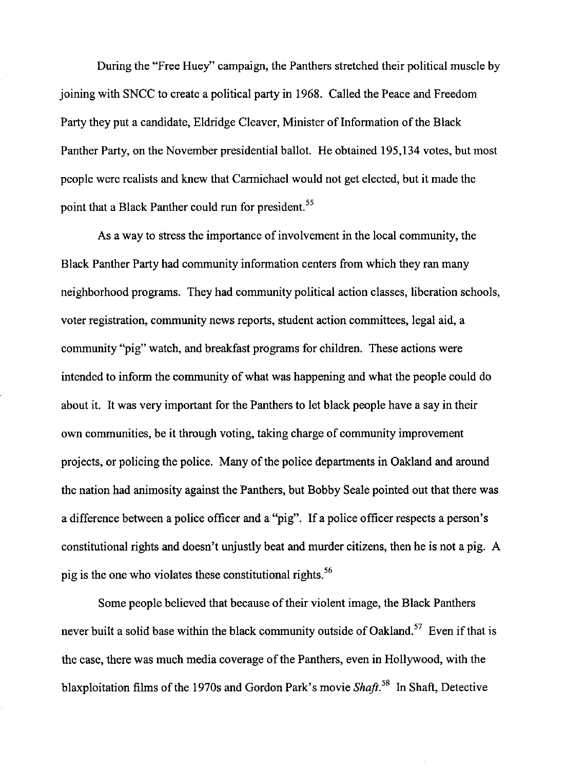During the "Free Huey" campaign, the Panthers stretched their political muscle by joining with SNCC to create a political party in 1968. Called the Peace and Freedom Party they put a candidate, Eldridge Cleaver, Minister of Information of the Black Panther Party, on the November presidential ballot. He obtained 195,134 votes, but most people were realists and knew that Carmichael would not get elected, but it made the point that a Black Panther could run for president.<sup>55</sup>

As a way to stress the importance of involvement in the local community, the Black Panther Party had community information centers from which they ran many neighborhood programs. They had community political action classes, liberation schools, voter registration, community news reports, student action committees, legal aid, a community "pig" watch, and breakfast programs for children. These actions were intended to inform the community of what was happening and what the people could do about it. It was very important for the Panthers to let black people have a say in their own communities, be it through voting, taking charge of community improvement projects, or policing the police. Many of the police departments in Oakland and around the nation had animosity against the Panthers, but Bobby Seale pointed out that there was a difference between a police officer and a "pig". If a police officer respects a person's constitutional rights and doesn't unjustly beat and murder citizens, then he is not a pig. A pig is the one who violates these constitutional rights. 56

Some people believed that because of their violent image, the Black Panthers never built a solid base within the black community outside of Oakland.<sup>57</sup> Even if that is the case, there was much media coverage of the Panthers, even in Hollywood, with the blaxploitation films of the 1970s and Gordon Park's movie *Shaft*.<sup>58</sup> In Shaft, Detective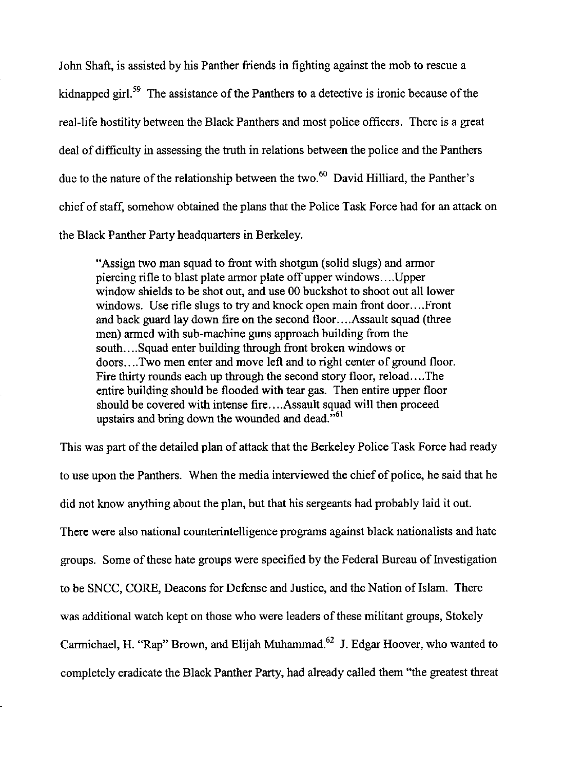John Shaft, is assisted by his Panther friends in fighting against the mob to rescue a kidnapped girl.<sup>59</sup> The assistance of the Panthers to a detective is ironic because of the real-life hostility between the Black Panthers and most police officers. There is a great deal of difficulty in assessing the truth in relations between the police and the Panthers due to the nature of the relationship between the two.<sup>60</sup> David Hilliard, the Panther's chief of staff, somehow obtained the plans that the Police Task Force had for an attack on the Black Panther Party headquarters in Berkeley.

"Assign two man squad to front with shotgun (solid slugs) and armor piercing rifle to blast plate armor plate off upper windows .... Upper window shields to be shot out, and use 00 buckshot to shoot out all lower windows. Use rifle slugs to try and knock open main front door....Front and back guard lay down fire on the second floor .... Assault squad (three men) armed with sub-machine guns approach building from the south....Squad enter building through front broken windows or doors .... Two men enter and move left and to right center of ground floor. Fire thirty rounds each up through the second story floor, reload .... The entire building should be flooded with tear gas. Then entire upper floor should be covered with intense fire .... Assault squad will then proceed upstairs and bring down the wounded and dead. $v<sup>61</sup>$ 

This was part of the detailed plan of attack that the Berkeley Police Task Force had ready to use upon the Panthers. When the media interviewed the chief of police, he said that he did not know anything about the plan, but that his sergeants had probably laid it out. There were also national counterintelligence programs against black nationalists and hate groups. Some of these hate groups were specified by the Federal Bureau of Investigation to be SNCC, CORE, Deacons for Defense and Justice, and the Nation of Islam. There was additional watch kept on those who were leaders of these militant groups, Stokely Carmichael, H. "Rap" Brown, and Elijah Muhammad.<sup>62</sup> J. Edgar Hoover, who wanted to completely eradicate the Black Panther Party, had already called them "the greatest threat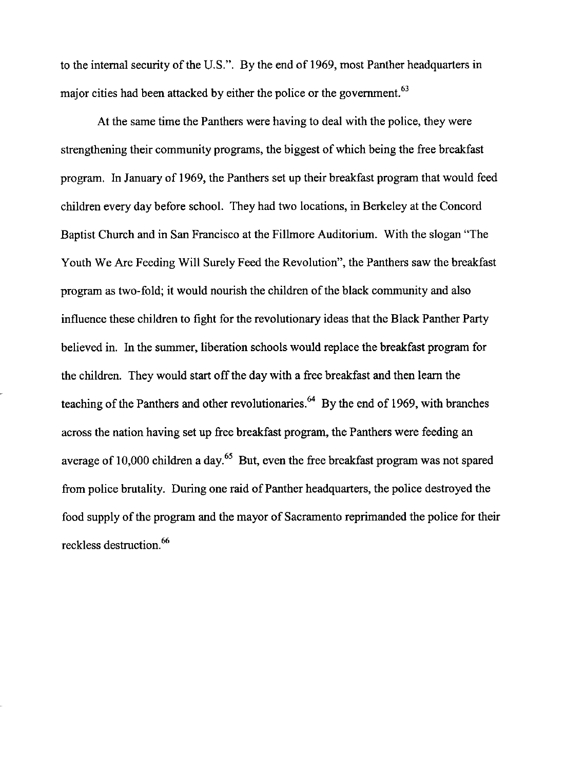to the internal security of the U.S.". By the end of 1969, most Panther headquarters in major cities had been attacked by either the police or the government. 63

At the same time the Panthers were having to deal with the police, they were strengthening their community programs, the biggest of which being the free breakfast program. In January of 1969, the Panthers set up their breakfast program that would feed children every day before school. They had two locations, in Berkeley at the Concord Baptist Church and in San Francisco at the Fillmore Auditorium. With the slogan "The Youth We Are Feeding Will Surely Feed the Revolution", the Panthers saw the breakfast program as two-fold; it would nourish the children of the black community and also influence these children to fight for the revolutionary ideas that the Black Panther Party believed in. In the sunnner, liberation schools would replace the breakfast program for the children. They would start off the day with a free breakfast and then learn the teaching of the Panthers and other revolutionaries.<sup>64</sup> By the end of 1969, with branches across the nation having set up free breakfast program, the Panthers were feeding an average of 10,000 children a day.<sup>65</sup> But, even the free breakfast program was not spared from police brutality. During one raid of Panther headquarters, the police destroyed the food supply of the program and the mayor of Sacramento reprimanded the police for their reckless destruction.<sup>66</sup>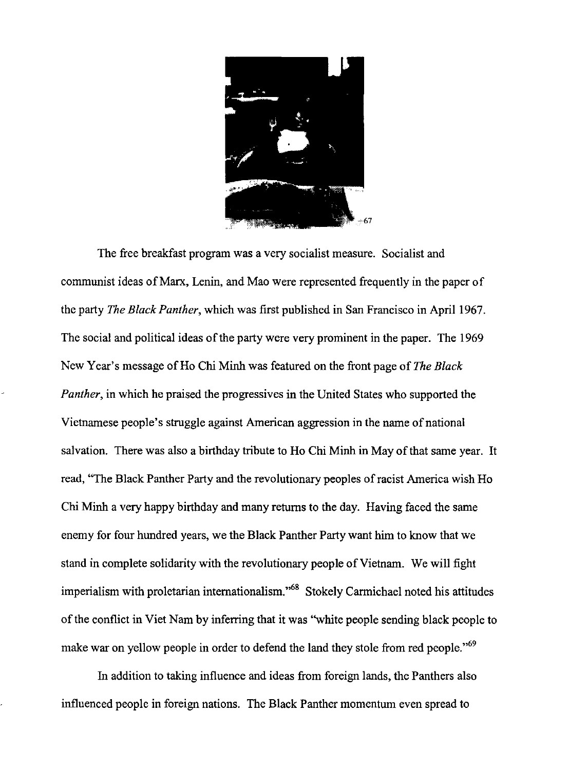

The free breakfast program was a very socialist measure. Socialist and communist ideas of Marx, Lenin, and Mao were represented frequently in the paper of the party *The Black Panther,* which was first published in San Francisco in April 1967. The social and political ideas of the party were very prominent in the paper. The 1969 New Year's message ofHo Chi Minh was featured on the front page of *The Black Panther,* in which he praised the progressives in the United States who supported the Vietnamese people's struggle against American aggression in the name of national salvation. There was also a birthday tribute to Ho Chi Minh in May of that same year. It read, "The Black Panther Party and the revolutionary peoples of racist America wish Ho Chi Minh a very happy birthday and many returns to the day. Having faced the same enemy for four hundred years, we the Black Panther Party want him to know that we stand in complete solidarity with the revolutionary people of Vietnam. We will fight imperialism with proletarian internationalism."<sup>68</sup> Stokely Carmichael noted his attitudes of the conflict in Viet Nam by inferring that it was "white people sending black people to make war on yellow people in order to defend the land they stole from red people."<sup>69</sup>

In addition to taking influence and ideas from foreign lands, the Panthers also influenced people in foreign nations. The Black Panther momentum even spread to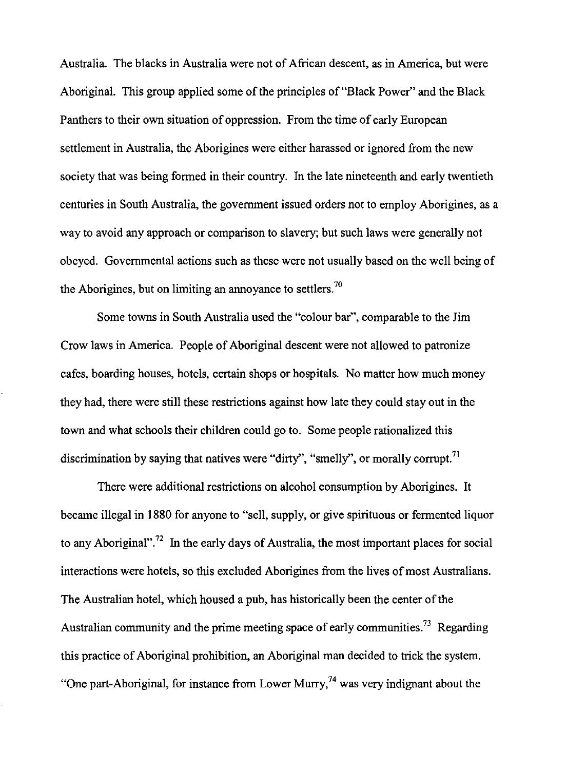Australia. The blacks in Australia were not of African descent, as in America, but were Aboriginal. This group applied some of the principles of "Black Power" and the Black Panthers to their own situation of oppression. From the time of early European settlement in Australia, the Aborigines were either harassed or ignored from the new society that was being formed in their country. In the late nineteenth and early twentieth centuries in South Australia, the govermnent issued orders not to employ Aborigines, as a way to avoid any approach or comparison to slavery; but such laws were generally not obeyed. Govermnental actions such as these were not usually based on the well being of the Aborigines, but on limiting an annovance to settlers.<sup>70</sup>

Some towns in South Australia used the "colour bar", comparable to the Jim Crow laws in America. People of Aboriginal descent were not allowed to patronize cafes, boarding houses, hotels, certain shops or hospitals. No matter how much money they had, there were still these restrictions against how late they could stay out in the town and what schools their children could go to. Some people rationalized this discrimination by saying that natives were "dirty", "smelly", or morally corrupt.<sup>71</sup>

There were additional restrictions on alcohol consumption by Aborigines. It became illegal in 1880 for anyone to "sell, supply, or give spirituous or fermented liquor to any Aboriginal".<sup>72</sup> In the early days of Australia, the most important places for social interactions were hotels, so this excluded Aborigines from the lives of most Australians. The Australian hotel, which housed a pub, has historically been the center of the Australian community and the prime meeting space of early communities.<sup>73</sup> Regarding this practice of Aboriginal prohibition, an Aboriginal man decided to trick the system. "One part-Aboriginal, for instance from Lower Murry,<sup>74</sup> was very indignant about the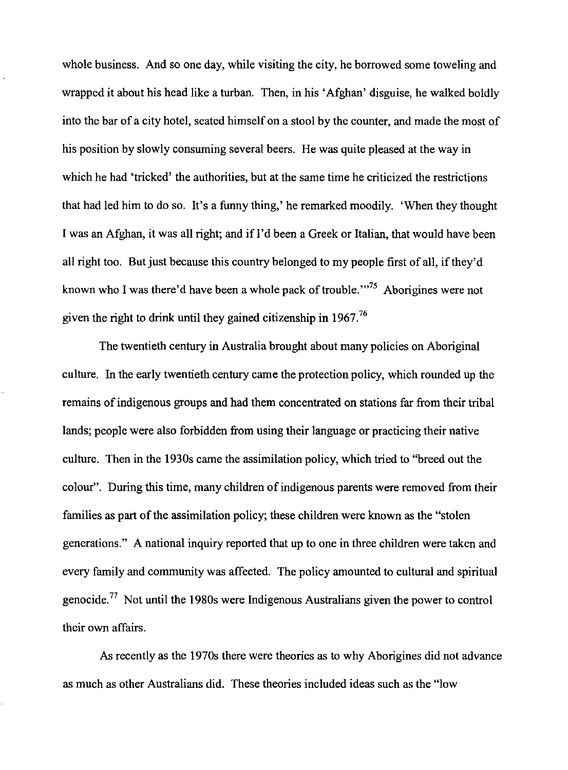whole business. And so one day, while visiting the city, he borrowed some toweling and wrapped it about his head like a turban. Then, in his 'Afghan' disguise, he walked boldly into the bar of a city hotel, seated himself on a stool by the counter, and made the most of his position by slowly consuming several beers. He was quite pleased at the way in which he had 'tricked' the authorities, but at the same time he criticized the restrictions that had led him to do so. It's a funny thing,' he remarked moodily. 'When they thought I was an Afghan, it was all right; and if I'd been a Greek or Italian, that would have been all right too. But just because this country belonged to my people first of all, if they'd known who I was there'd have been a whole pack of trouble."<sup>75</sup> Aborigines were not given the right to drink until they gained citizenship in  $1967$ .<sup>76</sup>

The twentieth century in Australia brought about many policies on Aboriginal culture. In the early twentieth century came the protection policy, which rounded up the remains of indigenous groups and had them concentrated on stations far from their tribal lands; people were also forbidden from using their language or practicing their native culture. Then in the 1930s came the assimilation policy, which tried to ''breed out the colour". During this time, many children of indigenous parents were removed from their families as part of the assimilation policy; these children were known as the "stolen generations." A national inquiry reported that up to one in three children were taken and every family and community was affected. The policy amounted to cultural and spiritual genocide.<sup>77</sup> Not until the 1980s were Indigenous Australians given the power to control their own affairs.

As recently as the 1970s there were theories as to why Aborigines did not advance as much as other Australians did. These theories included ideas such as the "low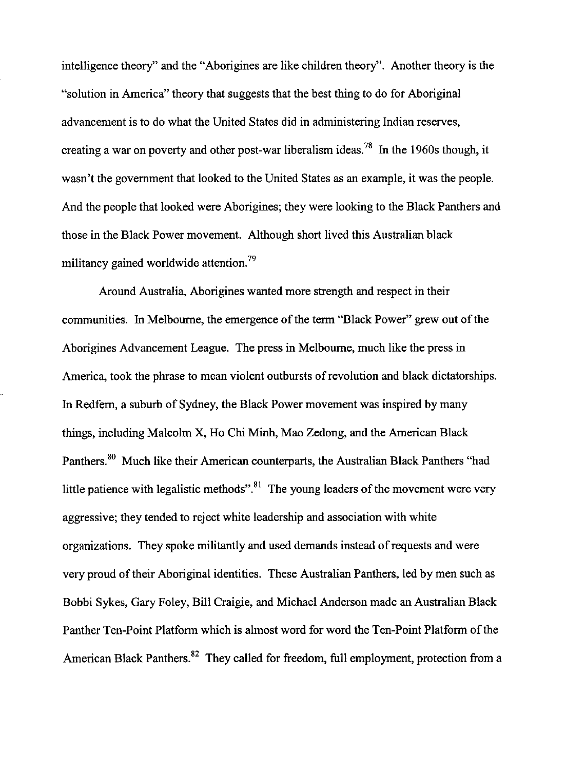intelligence theory" and the "Aborigines are like children theory". Another theory is the "solution in America" theory that suggests that the best thing to do for Aboriginal advancement is to do what the United States did in administering Indian reserves, creating a war on poverty and other post-war liberalism ideas.<sup>78</sup> In the 1960s though, it wasn't the government that looked to the United States as an example, it was the people. And the people that looked were Aborigines; they were looking to the Black Panthers and those in the Black Power movement. Although short lived this Australian black militancy gained worldwide attention.<sup>79</sup>

Around Australia, Aborigines wanted more strength and respect in their communities. In Melbourne, the emergence of the term "Black Power" grew out of the Aborigines Advancement League. The press in Melbourne, much like the press in America, took the phrase to mean violent outbursts of revolution and black dictatorships. In Redfern, a suburb of Sydney, the Black Power movement was inspired by many things, including Malcolm X, Ho Chi Minh, Mao Zedong, and the American Black Panthers.<sup>80</sup> Much like their American counterparts, the Australian Black Panthers "had little patience with legalistic methods".<sup>81</sup> The young leaders of the movement were very aggressive; they tended to reject white leadership and association with white organizations. They spoke militantly and used demands instead of requests and were very proud of their Aboriginal identities. These Australian Panthers, led by men such as Bobbi Sykes, Gary Foley, Bill Craigie, and Michael Anderson made an Australian Black Panther Ten-Point Platform which is almost word for word the Ten-Point Platform of the American Black Panthers.<sup>82</sup> They called for freedom, full employment, protection from a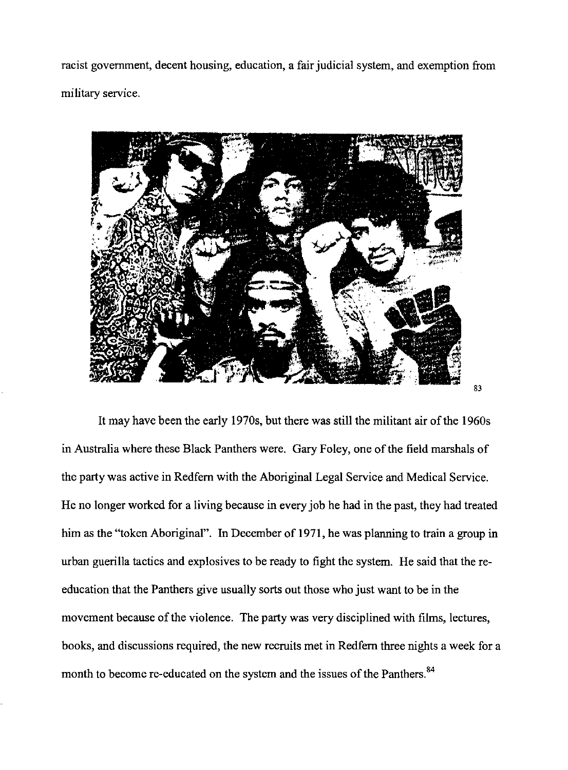racist government, decent housing, education, a fair judicial system, and exemption from military service.



It may have been the early 1970s, but there was still the militant air of the 1960s in Australia where these Black Panthers were. Gary Foley, one of the field marshals of the party was active in Redfern with the Aboriginal Legal Service and Medical Service. He no longer worked for a living because in every job he had in the past, they had treated him as the "token Aboriginal". In December of 1971, he was planning to train a group in urban guerilla tactics and explosives to be ready to fight the system. He said that the reeducation that the Panthers give usually sorts out those who just want to be in the movement because of the violence. The party was very disciplined with films, lectures, books, and discussions required, the new recruits met in Redfern three nights a week for a month to become re-educated on the system and the issues of the Panthers.<sup>84</sup>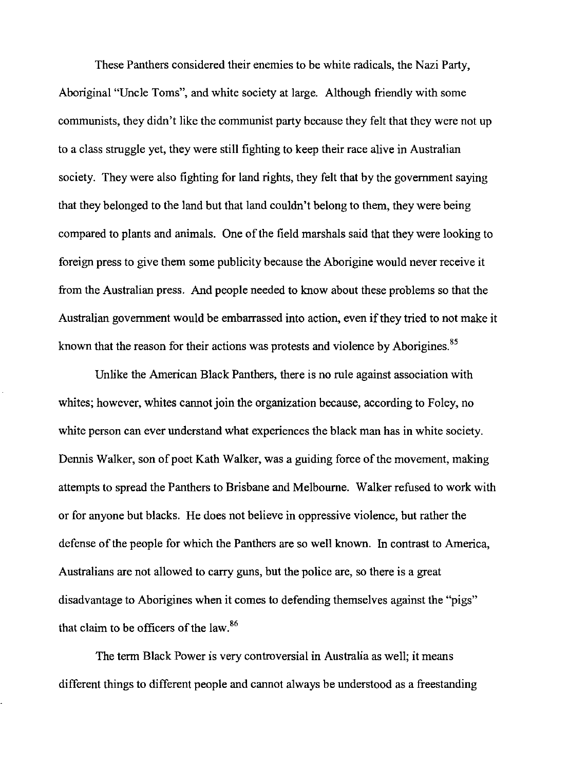These Panthers considered their enemies to be white radicals, the Nazi Party, Aboriginal "Uncle Toms", and white society at large. Although friendly with some communists, they didn't like the communist party because they felt that they were not up to a class struggle yet, they were still fighting to keep their race alive in Australian society. They were also fighting for land rights, they felt that by the government saying that they belonged to the land but that land couldn't belong to them, they were being compared to plants and animals. One of the field marshals said that they were looking to foreign press to give them some publicity because the Aborigine would never receive it from the Australian press. And people needed to know about these problems so that the Australian government would be embarrassed into action, even if they tried to not make it known that the reason for their actions was protests and violence by Aborigines.<sup>85</sup>

Unlike the American Black Panthers, there is no rule against association with whites; however, whites cannot join the organization because, according to Foley, no white person can ever understand what experiences the black man has in white society. Dennis Walker, son of poet Kath Walker, was a guiding force of the movement, making attempts to spread the Panthers to Brisbane and Melbourne. Walker refused to work with or for anyone but blacks. He does not believe in oppressive violence, but rather the defense of the people for which the Panthers are so well known. In contrast to America, Australians are not allowed to carry guns, but the police are, so there is a great disadvantage to Aborigines when it comes to defending themselves against the "pigs" that claim to be officers of the law. 86

The term Black Power is very controversial in Australia as well; it means different things to different people and cannot always be understood as a freestanding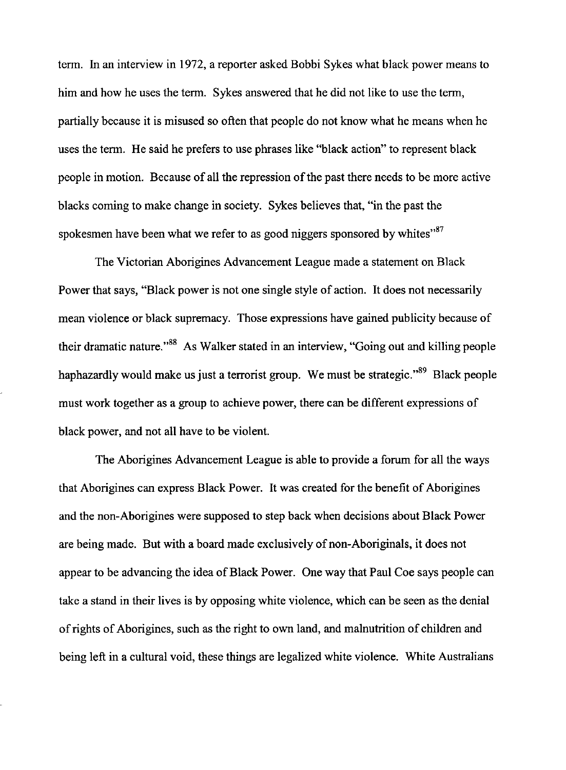tenn. In an interview in 1972, a reporter asked Bobbi Sykes what black power means to him and how he uses the term. Sykes answered that he did not like to use the term, partially because it is misused so often that people do not know what he means when he uses the tenn. He said he prefers to use phrases like "black action" to represent black people in motion. Because of all the repression of the past there needs to be more active blacks corning to make change in society. Sykes believes that, "in the past the spokesmen have been what we refer to as good niggers sponsored by whites $^{87}$ 

The Victorian Aborigines Advancement League made a statement on Black Power that says, "Black power is not one single style of action. It does not necessarily mean violence or black supremacy. Those expressions have gained publicity because of their dramatic nature."<sup>88</sup> As Walker stated in an interview, "Going out and killing people haphazardly would make us just a terrorist group. We must be strategic."<sup>89</sup> Black people must work together as a group to achieve power, there can be different expressions of black power, and not all have to be violent.

The Aborigines Advancement League is able to provide a forum for all the ways that Aborigines can express Black Power. It was created for the benefit of Aborigines and the non-Aborigines were supposed to step back when decisions about Black Power are being made. But with a board made exclusively of non-Aboriginals, it does not appear to be advancing the idea of Black Power. One way that Paul Coe says people can take a stand in their lives is by opposing white violence, which can be seen as the denial of rights of Aborigines, such as the right to own land, and malnutrition of children and being left in a cultural void, these things are legalized white violence. White Australians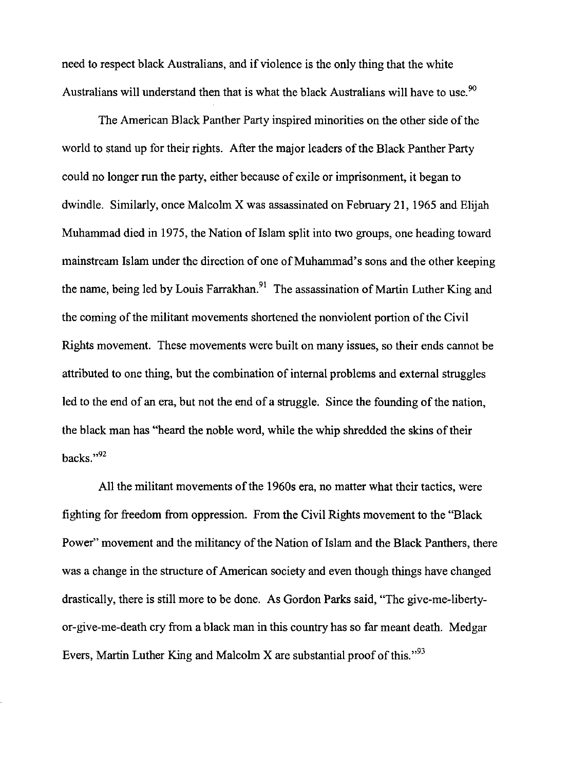need to respect black Australians, and if violence is the only thing that the white Australians will understand then that is what the black Australians will have to use.<sup>90</sup>

The American Black Panther Party inspired minorities on the other side of the world to stand up for their rights. After the major leaders of the Black Panther Party could no longer run the party, either because of exile or imprisonment, it began to dwindle. Similarly, once Malcolm X was assassinated on February 21, 1965 and Elijah Muhammad died in 1975, the Nation of Islam split into two groups, one heading toward mainstream Islam under the direction of one of Muhammad's sons and the other keeping the name, being led by Louis Farrakhan.<sup>91</sup> The assassination of Martin Luther King and the coming of the militant movements shortened the nonviolent portion of the Civil Rights movement. These movements were built on many issues, so their ends cannot be attributed to one thing, but the combination of internal problems and external struggles led to the end of an era, but not the end of a struggle. Since the founding of the nation, the black man has "heard the noble word, while the whip shredded the skins of their backs."92

All the militant movements of the 1960s era, no matter what their tactics, were fighting for freedom from oppression. From the Civil Rights movement to the "Black Power" movement and the militancy of the Nation of Islam and the Black Panthers, there was a change in the structure of American society and even though things have changed drastically, there is still more to be done. As Gordon Parks said, "The give-me-libertyor-give-me-death cry from a black man in this country has so far meant death. Medgar Evers, Martin Luther King and Malcolm X are substantial proof of this.<sup> $,93$ </sup>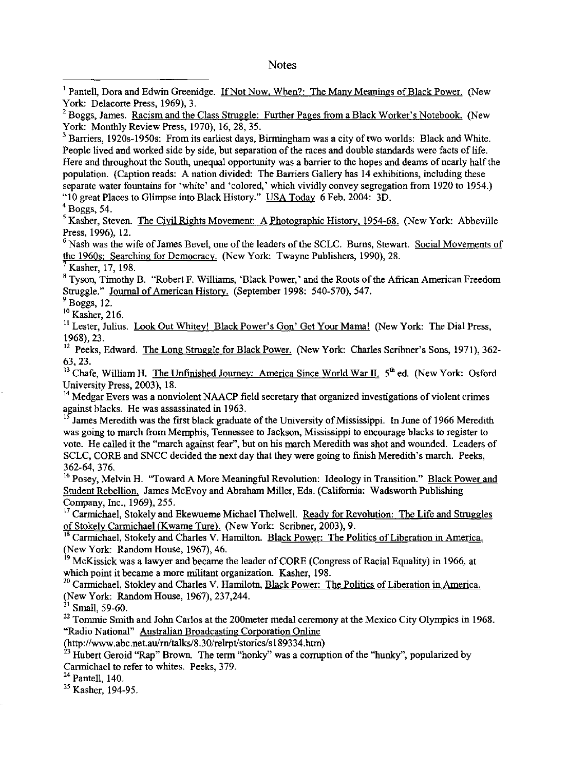<sup>1</sup> Pantell, Dora and Edwin Greenidge. If Not Now, When?: The Many Meanings of Black Power. (New York: Delacorte Press, 1969), 3.

 $2$  Boggs, James. Racism and the Class Struggle: Further Pages from a Black Worker's Notebook. (New York: Monthly Review Press, 1970), 16,28,35.

<sup>3</sup> Barriers, 1920s-1950s: From its earliest days, Birmingham was a city of two worlds: Black and White. People lived and worked side by side, but separation of the races and double standards were facts of life. Here and throughout the South, unequal opportunity was a barrier to the hopes and deams of nearly half the population. (Caption reads: A nation divided: The Barriers Gallery has 14 exhibitions, including these separate water fountains for 'white' and 'colored,' which vividly convey segregation from 1920 to 1954.) "10 great Places to Glimpse into Black History." USA Today 6 Feb. 2004: 3D.

 $4$  Boggs, 54.

<sup>5</sup> Kasher, Steven. The Civil Rights Movement: A Photographic History, 1954-68. (New York: Abbeville Press, 1996), 12.

<sup>6</sup> Nash was the wife of James Bevel, one of the leaders of the SCLC. Burns, Stewart. Social Movements of the 1960s: Searching for Democracy. (New York: Twayne Publishers, 1990), 28.

Kasher, 17, 198.

<sup>8</sup> Tyson, Timothy B. "Robert F. Williams, 'Black Power,' and the Roots of the African American Freedom Struggle." Journal of American History. (September 1998: 540-570), 547.

 $<sup>9</sup>$  Boggs, 12.</sup>

10 Kasher, 216.

II Lester, Julius. Look Out Whitey! Black Power's Gon' Get Your Mama! (New York: The Dial Press, 1968),23.

<sup>12</sup> Peeks. Edward. The Long Struggle for Black Power. (New York: Charles Scribner's Sons, 1971), 362-63,23.

<sup>13</sup> Chafe, William H. The Unfinished Journey: America Since World War II,  $5<sup>th</sup>$  ed. (New York: Osford University Press, 2003), 18.

<sup>14</sup> Medgar Evers was a nonviolent NAACP field secretary that organized investigations of violent crimes against blacks. He was assassinated in 1963.

<sup>15</sup> James Meredith was the first black graduate of the University of Mississippi. In June of 1966 Meredith was going to march from Memphis, Tennessee to Jackson, Mississippi to encourage blacks to register to vote. He called it the "march against fear", but on his march Meredith was shot and wounded. Leaders of SCLC, CORE and SNCC decided the next day that they were going to finish Meredith's march. Peeks, 362-64, 376.

<sup>16</sup> Posey, Melvin H. "Toward A More Meaningful Revolution: Ideology in Transition." Black Power and Student Rebellion. James McEvoy and Abraham Miller, Eds. (Califorma: Wadsworth Publishing Company, Inc., 1969), 255.

<sup>17</sup> Carmichael, Stokely and Ekewueme Michael Thelwell. Ready for Revolution: The Life and Struggles of Stokely Carmichael (Kwame Ture). (New York: Scribner, 2003), 9.

<sup>18</sup> Carmichael, Stokely and Charles V. Hamilton. Black Power: The Politics of Liberation in America. (New York: Random House, 1967), 46.

<sup>19</sup> McKissick was a lawyer and became the leader of CORE (Congress of Racial Equality) in 1966, at which point it became a more militant organization. Kasher, 198,

<sup>20</sup> Carmichael, Stokley and Charles V. Hamilotn, Black Power: The Politics of Liberation in America. (New York: Random House, 1967), 237,244.

 $21$  Small, 59-60.

 $22$  Tommie Smith and John Carlos at the 200 meter medal ceremony at the Mexico City Olympics in 1968. "Radio National" Australian Broadcasting Corporation Online

(http://www.abc.net.au/rn/talks/8.30/relrpt/stories/s189334.htm)

<sup>23</sup> Hubert Geroid "Rap" Brown. The term "honky" was a corruption of the "hunky", popularized by Carmichael to refer to whites. Peeks, 379.

 $24$  Pantell, 140.

 $^{25}$  Kasher, 194-95.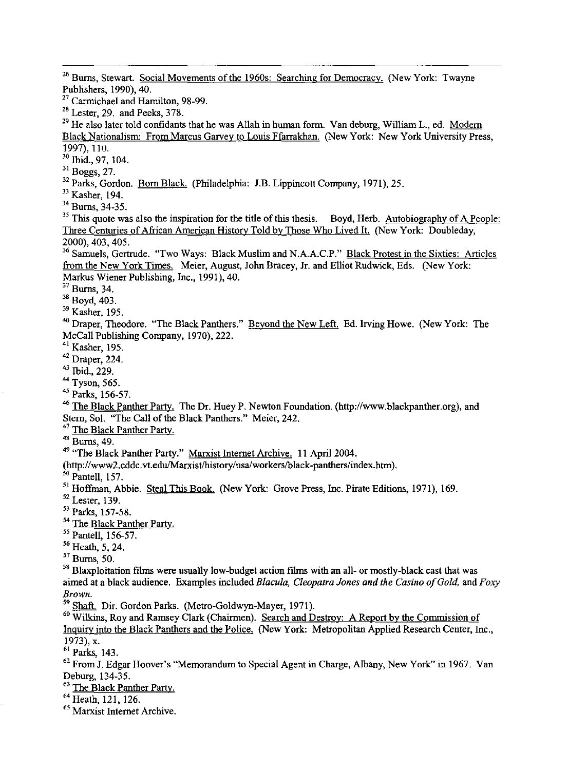<sup>26</sup> Burns, Stewart. Social Movements of the 1960s: Searching for Democracy. (New York: Twayne Publishers, 1990), 40.

<sup>27</sup> Carmichael and Hamilton, 98-99.

 $28$  Lester, 29. and Peeks, 378.

<sup>29</sup> He also later told confidants that he was Allah in human form. Van deburg, William L., ed. Modern Black Nationalism: From Marcus Garvey to Louis Ffarrakhan. (New York: New York University Press, 1997), 1l0.

30 Ibid., 97, 104.

31 Boggs, 27.

<sup>32</sup> Parks, Gordon. Born Black. (Philadelphia: J.B. Lippincott Company, 1971), 25.

33 Kasher, 194.

34 Bums, 34-35.

<sup>35</sup> This quote was also the inspiration for the title of this thesis. Boyd, Herb. <u>Autobiography of A People:</u> Three Centuries of African American Historv Told by Those Who Lived It. (New York: Doubleday, 2000),403,405.

<sup>36</sup> Samuels, Gertrude. "Two Ways: Black Muslim and N.A.A.C.P." <u>Black Protest in the Sixties: Articles</u> from the New York Times. Meier, August, John Bracey, Jr. and Elliot Rudwick, Eds. (New York: Markus Wiener Publishing, Inc., 1991),40.

 $37$  Burns, 34.

38 Boyd, 403.

39 Kasher, 195.

<sup>40</sup> Draper, Theodore. "The Black Panthers." Beyond the New Left. Ed. Irving Howe. (New York: The McCall Publishing Company, 1970), 222.

41 Kasher, 195.

42 Draper, 224.

43 Ibid., 229.

44 Tyson, 565.

45 Parks, 156-57.

46 The Black Panther Party. The Dr. Huey P. Newton Foundation. (http://www.blackpanther.org), and Stern, Sol. "The Call of the Black Panthers." Meier, 242.

<sup>47</sup> The Black Panther Party.

 $48 \frac{\text{m}}{\text{Burns}, 49.}$ 

<sup>49</sup> "The Black Panther Party." Marxist Internet Archive. 11 April 2004.

(http://www2.cddc.vt.edu/Marxist/history/usa/workers/black-panthers/index.htm).

<sup>50</sup> Pantell, 157.

<sup>51</sup> Hoffman, Abbie. Steal This Book. (New York: Grove Press, Inc. Pirate Editions, 1971), 169.

 $52$  Lester, 139.

53 Parks, 157-58.

<sup>54</sup> The Black Panther Party.

<sup>55</sup> Pantell, 156-57.

 $56$  Heath, 5, 24.

57 Burns, 50.

<sup>58</sup> Blaxploitation films were usually low-budget action films with an all- or mostly-black cast that was aimed at a black audience. Examples included *Blacula, Cleopatra Jones and the Casino of Gold,* and *Foxy Brown.* 

59 Shaft. Dir. Gordon Parks. (Metro-Goldwyn-Mayer,1971).

<sup>60</sup> Wilkins, Roy and Ramsey Clark (Chairmen). Search and Destroy: A Report by the Commission of Inquiry into the Black Panthers and the Police. (New York: Metropolitan Applied Research Center, Inc., 1973), x.

61 Parks, 143.

<sup>62</sup> From J. Edgar Hoover's "Memorandum to Special Agent in Charge, Albany, New York" in 1967. Van Deburg, 134-35.

<sup>63</sup> The Black Panther Party.

64 Heath, 121, 126.

**65 Marxist Internet Archive.**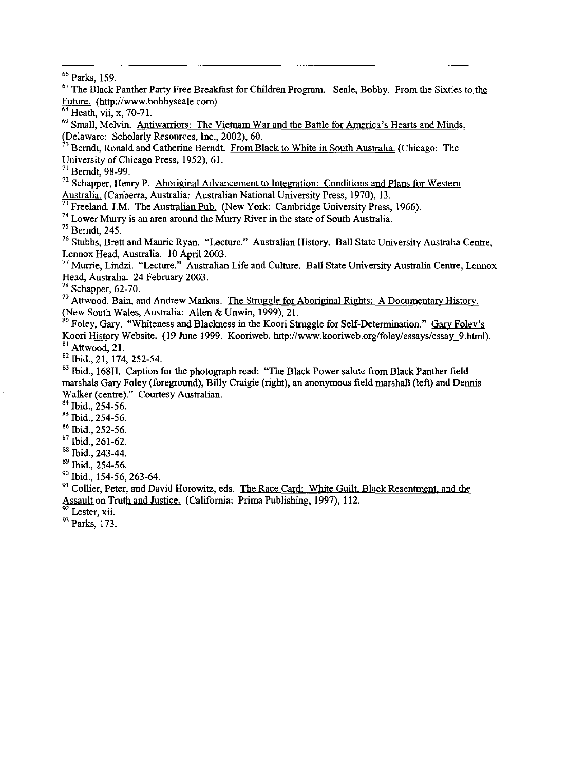66 Parks, 159.

<sup>67</sup> The Black Panther Party Free Breakfast for Children Program. Seale, Bobby. From the Sixties to the Future. (http://www.bobbyseale.com)

**68 Heath, vii, x, 70-71.** 

<sup>69</sup> Small, Melvin. Antiwarriors: The Vietnam War and the Battle for America's Hearts and Minds. (Delaware: Scholarly Resources, Inc., 2002), 60.

 $\lambda^0$  Berndt, Ronald and Catherine Berndt. From Black to White in South Australia. (Chicago: The University of Chicago Press, 1952), 61.

71 Berndt, 98-99.

 $72$  Schapper, Henry P. Aboriginal Advancement to Integration: Conditions and Plans for Western Australia. (Canberra, Australia: Australian National University Press, 1970), 13.

<sup>2</sup> Freeland, J.M. <u>The Australian Pub.</u> (New York: Cambridge University Press, 1966).

74 Lower Murry is an area around the Murry River in the state of South Australia.

75 Berndt, 245.

76 Stubbs, Brett and Maurie Ryan. "Lecture." Australian History. Ball State University Australia Centre, Lennox Head, Australia. 10 April 2003.

77 Murrie, Lindzi. "Lecture." Australian Life and Culture. Ball State University Australia Centre, Lennox Head, Australia. 24 February 2003.

 $78$  Schapper, 62-70.

<sup>79</sup> Attwood, Bain, and Andrew Markus. The Struggle for Aboriginal Rights: A Documentary History. (New South Wales, Australia: Allen & Unwin, 1999), 21.

<sup>80</sup> Foley, Gary. "Whiteness and Blackness in the Koori Struggle for Self-Determination." <u>Gary Foley's</u> Koori History Website. (19 June 1999. Kooriweb. http://www.kooriweb.orglfoley/essays/essay\_9.html). <sup>81</sup> Attwood, 21.

 $82$  Ibid., 21, 174, 252-54.

<sup>83</sup> Ibid., 168H. Caption for the photograph read: "The Black Power salute from Black Panther field marshals Gary Foley (foreground), Billy Craigie (right), an anonymous field marshall (left) and Dennis Walker (centre)." Courtesy Australian.

84 Ibid., 254-56.

85 Ibid., 254-56.

86 Ibid., 252-56.

87 Ibid., 261-62.

88 Ibid., 243-44.

89 Ibid., 254-56.

90 Ibid., 154-56, 263-64.

<sup>91</sup> Collier, Peter, and David Horowitz, eds. The Race Card: White Guilt, Black Resentment, and the Assault on Truth and Justice. (California: Prima Publishing, 1997), 112.

**92 Lester, xii.** 

93 Parks, 173.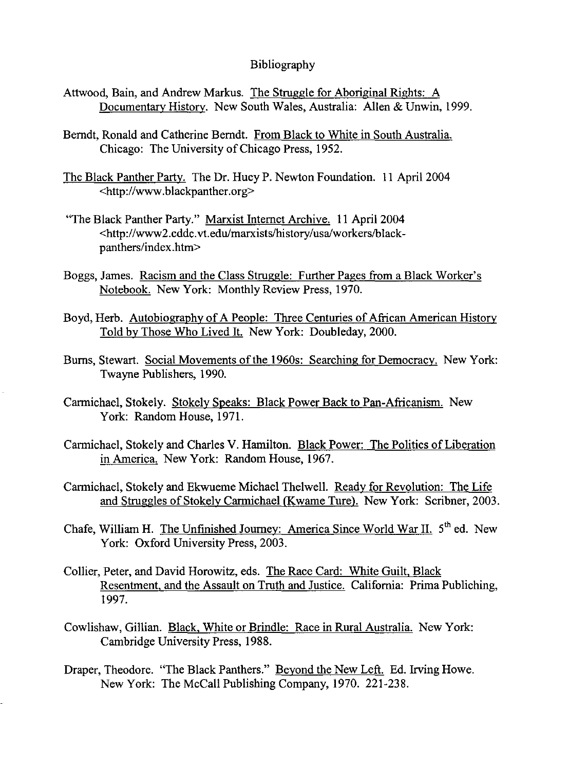## Bibliography

- Attwood, Bain, and Andrew Markus. The Struggle for Aboriginal Rights: A Documentary History. New South Wales, Australia: Allen & Unwin, 1999.
- Berndt, Ronald and Catherine Berndt. From Black to White in South Australia. Chicago: The University of Chicago Press, 1952.
- The Black Panther Party. The Dr. Huey P. Newton Foundation. II April 2004 <http://www.blackpanther.org>
- "The Black Panther Party." Marxist Internet Archive. II April 2004 <http://www2.cddc.vt.edu/marxists/history/usa/workers/blackpanthers/index.htm>
- Boggs, James. Racism and the Class Struggle: Further Pages from a Black Worker's Notebook. New York: Monthly Review Press, 1970.
- Boyd, Herb. Autobiography of A People: Three Centuries of African American History Told by Those Who Lived It. New York: Doubleday, 2000.
- Burns, Stewart. Social Movements of the 1960s: Searching for Democracy. New York: Twayne Publishers, 1990.
- Carmichael, Stokely. Stokely Speaks: Black Power Back to Pan-Africanism. New York: Random House, 1971.
- Carmichael, Stokely and Charles V. Hamilton. Black Power: The Politics of Liberation in America. New York: Random House, 1967.
- Carmichael, Stokely and Ekwueme Michael Thelwell. Ready for Revolution: The Life and Struggles of Stokely Carmichael (Kwame Ture). New York: Scribner, 2003.
- Chafe, William H. The Unfinished Journey: America Since World War II. 5<sup>th</sup> ed. New York: Oxford University Press, 2003.
- Collier, Peter, and David Horowitz, eds. The Race Card: White Guilt, Black Resentment, and the Assault on Truth and Justice. California: Prima Publiching, 1997.
- Cowlishaw, Gillian. Black, White or Brindle: Race in Rural Australia. New York: Cambridge University Press, 1988.
- Draper, Theodore. "The Black Panthers." Beyond the New Left. Ed. Irving Howe. New York: The McCall Publishing Company, 1970. 221-238.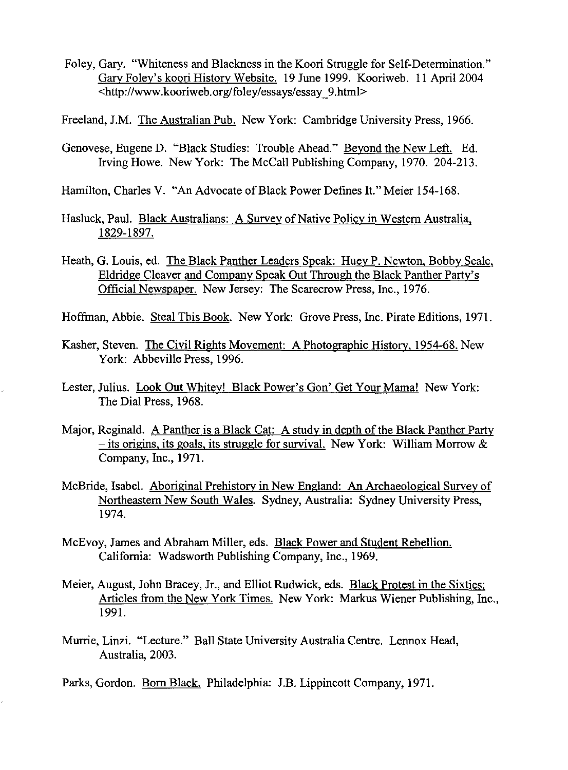- Foley, Gary. "Whiteness and Blackness in the Koori Struggle for Self-Determination." Gary Foley's koori History Website. 19 June 1999. Kooriweb. 11 April 2004 <http://www.kooriweb.orglfoley/essays/essay\_9.htrnl>
- Freeland, J.M. The Australian Pub. New York: Cambridge University Press, 1966.
- Genovese, Eugene D. "Black Studies: Trouble Ahead." Beyond the New Left. Ed. Irving Howe. New York: The McCall Publishing Company, 1970. 204-213.
- Hamilton, Charles V. "An Advocate of Black Power Defines It." Meier 154-168.
- Hasluck, Paul. Black Australians: A Survey of Native Policy in Western Australia, 1829-1897.
- Heath, G. Louis, ed. The Black Panther Leaders Speak: Huey P. Newton, Bobby Seale, Eldridge Cleaver and Company Speak Out Through the Black Panther Party's Official Newspaper. New Jersey: The Scarecrow Press, Inc., 1976.
- Hoffinan, Abbie. Steal This Book. New York: Grove Press, Inc. Pirate Editions, 1971.
- Kasher, Steven. The Civil Rights Movement: A Photographic History, 1954-68. New York: Abbeville Press, 1996.
- Lester, Julius. Look Out Whitey! Black Power's Gon' Get Your Mama! New York: The Dial Press, 1968.
- Major, Reginald. A Panther is a Black Cat: A study in depth of the Black Panther Party  $-$  its origins, its goals, its struggle for survival. New York: William Morrow  $\&$ Company, Inc., 1971.
- McBride, Isabel. Aboriginal Prehistory in New England: An Archaeological Survey of Northeastern New South Wales. Sydney, Australia: Sydney University Press, 1974.
- McEvoy, James and Abraham Miller, eds. Black Power and Student Rebellion. California: Wadsworth Publishing Company, Inc., 1969.
- Meier, August, John Bracey, Jr., and Elliot Rudwick, eds. Black Protest in the Sixties: Articles from the New York Times. New York: Markus Wiener Publishing, Inc., 1991.
- Murrie, Linzi. "Lecture." Ball State University Australia Centre. Lennox Head, Australia, 2003.
- Parks, Gordon. Born Black. Philadelphia: J.B. Lippincott Company, 1971.